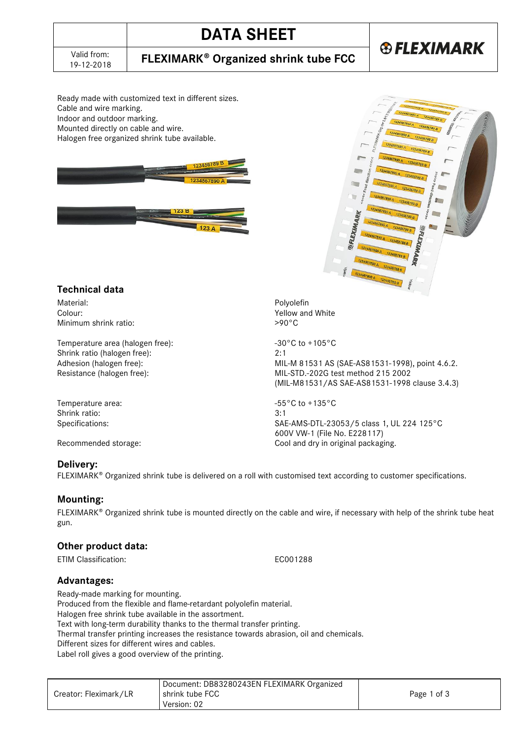# **DATA SHEET**

### 19-12-2018 **FLEXIMARK Organized shrink tube FCC**

# **®FLEXIMARK**

Ready made with customized text in different sizes. Cable and wire marking. Indoor and outdoor marking. Mounted directly on cable and wire. Halogen free organized shrink tube available.





### **Technical data**

Material: Expansion of the Colour: Polyolefin Colour: Polyolefin Colour: Polyolefin Colour: Polyolefin Colour: Minimum shrink ratio:

Temperature area (halogen free):  $-30^{\circ}$ C to +105°C Shrink ratio (halogen free): 2:1

Temperature area:  $-55^{\circ}$ C to +135°C Shrink ratio: 3:1

#### **Delivery:**

FLEXIMARK<sup>®</sup> Organized shrink tube is delivered on a roll with customised text according to customer specifications.

#### **Mounting:**

 $FLEXIMARK<sup>®</sup> Organized shrink tube is mounted directly on the cable and wire, if necessary with help of the shrink tube heat$ gun.

#### **Other product data:**

ETIM Classification: EC001288

**Advantages:** 

Ready-made marking for mounting.

Produced from the flexible and flame-retardant polyolefin material.

Halogen free shrink tube available in the assortment.

Text with long-term durability thanks to the thermal transfer printing.

Thermal transfer printing increases the resistance towards abrasion, oil and chemicals.

Different sizes for different wires and cables.

Label roll gives a good overview of the printing.

|                       | Document: DB83280243EN FLEXIMARK Organized |             |
|-----------------------|--------------------------------------------|-------------|
| Creator: Fleximark/LR | I shrink tube FCC                          | Page 1 of 3 |
|                       | Version: 02                                |             |

Yellow and White<br> $>90^{\circ}$ C

Adhesion (halogen free): MIL-M 81531 AS (SAE-AS81531-1998), point 4.6.2. Resistance (halogen free): MIL-STD.-202G test method 215 2002 (MIL-M81531/AS SAE-AS81531-1998 clause 3.4.3)

Specifications: SAE-AMS-DTL-23053/5 class 1, UL 224 125°C 600V VW-1 (File No. E228117) Recommended storage: Cool and dry in original packaging.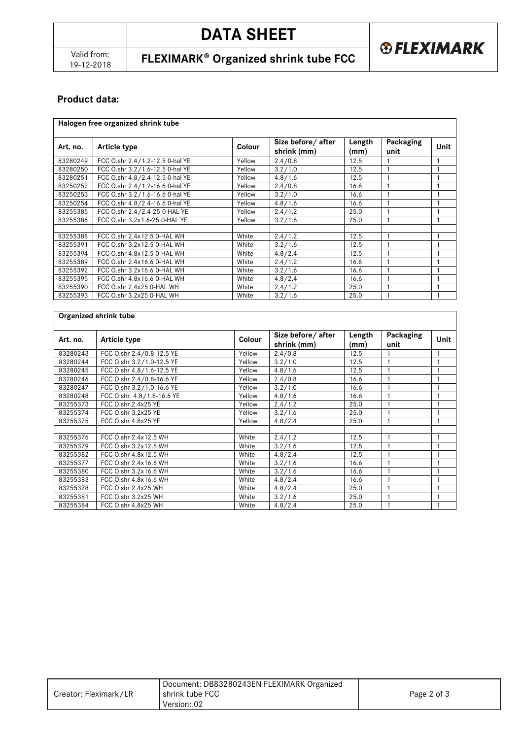19-12-2018 **FLEXIMARK Organized shrink tube FCC**

**unit Unit**

### **Product data:**

 $\mathsf{r}$ 

|          | Halogen free organized shrink tube |        |                                    |                |                   |  |
|----------|------------------------------------|--------|------------------------------------|----------------|-------------------|--|
| Art. no. | Article type                       | Colour | Size before / after<br>shrink (mm) | Length<br>(mm) | Packaging<br>unit |  |
| 83280249 | FCC O.shr 2.4/1.2-12.5 0-hal YE    | Yellow | 2.4/0.8                            | 12.5           |                   |  |
| 83280250 | FCC O.shr 3.2/1.6-12.5 0-hal YE    | Yellow | 3.2/1.0                            | 12.5           |                   |  |
| 83280251 | FCC O.shr 4.8/2.4-12.5 0-hal YE    | Yellow | 4.8/1.6                            | 12.5           |                   |  |
| 83250252 | FCC O.shr 2.4/1.2-16.6 0-hal YE    | Yellow | 2.4/0.8                            | 16.6           |                   |  |
| 83250253 | FCC O.shr 3.2/1.6-16.6 0-hal YE    | Yellow | 3.2/1.0                            | 16.6           |                   |  |
| 83250254 | FCC O.shr 4.8/2.4-16.6 0-hal YE    | Yellow | 4.8/1.6                            | 16.6           |                   |  |
|          |                                    |        |                                    |                |                   |  |

| <u>UULUULUU</u> | $1 \cup C$ 0.3 $11 \cup 2.2$ / $1.0$ - 10.0 0 - 11 at TL | <b>I CIIUW</b> | 0.271.0 | 10.0 |  |
|-----------------|----------------------------------------------------------|----------------|---------|------|--|
| 83250254        | FCC O.shr 4.8/2.4-16.6 0-hal YE                          | Yellow         | 4.8/1.6 | 16.6 |  |
| 83255385        | FCC 0.shr 2.4/2.4-25 0-HAL YE                            | Yellow         | 2.4/1.2 | 25.0 |  |
| 83255386        | FCC 0.shr 3.2x1.6-25 0-HAL YE                            | Yellow         | 3.2/1.6 | 25.0 |  |
|                 |                                                          |                |         |      |  |
| 83255388        | FCC 0.shr 2.4x12.5 0-HAL WH                              | White          | 2.4/1.2 | 12.5 |  |
| 83255391        | FCC 0.shr 3.2x12.5 0-HAL WH                              | White          | 3.2/1.6 | 12.5 |  |
| 83255394        | FCC 0.shr 4.8x12.5 0-HAL WH                              | White          | 4.8/2.4 | 12.5 |  |
| 83255389        | FCC 0.shr 2.4x16.6 0-HAL WH                              | White          | 2.4/1.2 | 16.6 |  |
| 83255392        | FCC 0.shr 3.2x16.6 0-HAL WH                              | White          | 3.2/1.6 | 16.6 |  |
| 83255395        | FCC 0.shr 4.8x16.6 0-HAL WH                              | White          | 4.8/2.4 | 16.6 |  |
| 83255390        | FCC 0.shr 2.4x25 0-HAL WH                                | White          | 2.4/1.2 | 25.0 |  |
| 83255393        | FCC 0.shr 3.2x25 0-HAL WH                                | White          | 3.2/1.6 | 25.0 |  |

| Organized shrink tube |                            |        |                                  |                |                   |      |
|-----------------------|----------------------------|--------|----------------------------------|----------------|-------------------|------|
| Art. no.              | Article type               | Colour | Size before/after<br>shrink (mm) | Length<br>(mm) | Packaging<br>unit | Unit |
| 83280243              | FCC O.shr 2.4/0.8-12.5 YE  | Yellow | 2.4/0.8                          | 12.5           |                   |      |
| 83280244              | FCC O.shr 3.2/1.0-12.5 YE  | Yellow | 3.2/1.0                          | 12.5           |                   |      |
| 83280245              | FCC O.shr 4.8/1.6-12.5 YE  | Yellow | 4.8/1.6                          | 12.5           |                   |      |
| 83280246              | FCC 0.shr 2.4/0.8-16.6 YE  | Yellow | 2.4/0.8                          | 16.6           |                   |      |
| 83280247              | FCC O.shr 3.2/1.0-16.6 YE  | Yellow | 3.2/1.0                          | 16.6           |                   |      |
| 83280248              | FCC O.shr. 4.8/1.6-16.6 YE | Yellow | 4.8/1.6                          | 16.6           |                   |      |
| 83255373              | FCC O.shr 2.4x25 YE        | Yellow | 2.4/1.2                          | 25.0           |                   |      |
| 83255374              | FCC 0.shr 3.2x25 YE        | Yellow | 3.2/1.6                          | 25.0           |                   |      |
| 83255375              | FCC O.shr 4.8x25 YE        | Yellow | 4.8/2.4                          | 25.0           |                   |      |
|                       |                            |        |                                  |                |                   |      |
| 83255376              | FCC 0.shr 2.4x12.5 WH      | White  | 2.4/1.2                          | 12.5           |                   |      |
| 83255379              | FCC 0.shr 3.2x12.5 WH      | White  | 3.2/1.6                          | 12.5           |                   |      |
| 83255382              | FCC 0.shr 4.8x12.5 WH      | White  | 4.8/2.4                          | 12.5           |                   |      |
| 83255377              | FCC 0.shr 2.4x16.6 WH      | White  | 3.2/1.6                          | 16.6           |                   |      |
| 83255380              | FCC 0.shr 3.2x16.6 WH      | White  | 3.2/1.6                          | 16.6           |                   |      |
| 83255383              | FCC 0.shr 4.8x16.6 WH      | White  | 4.8/2.4                          | 16.6           |                   |      |
| 83255378              | FCC 0.shr 2.4x25 WH        | White  | 4.8/2.4                          | 25.0           |                   |      |
| 83255381              | FCC O.shr 3.2x25 WH        | White  | 3.2/1.6                          | 25.0           |                   |      |
| 83255384              | FCC 0.shr 4.8x25 WH        | White  | 4.8/2.4                          | 25.0           |                   |      |

|                       | Document: DB83280243EN FLEXIMARK Organized |             |
|-----------------------|--------------------------------------------|-------------|
| Creator: Fleximark/LR | l shrink tube FCC                          | Page 2 of 3 |
|                       | Version: 02                                |             |